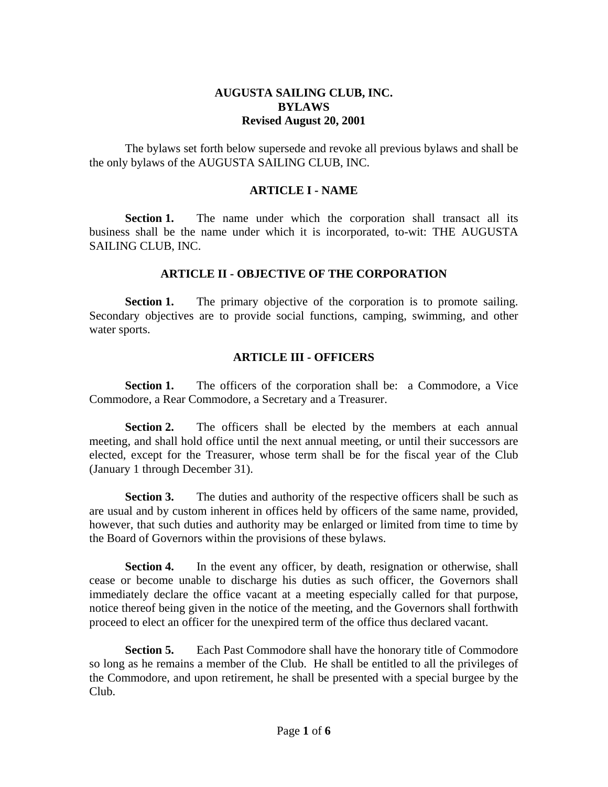# **AUGUSTA SAILING CLUB, INC. BYLAWS Revised August 20, 2001**

 The bylaws set forth below supersede and revoke all previous bylaws and shall be the only bylaws of the AUGUSTA SAILING CLUB, INC.

#### **ARTICLE I - NAME**

**Section 1.** The name under which the corporation shall transact all its business shall be the name under which it is incorporated, to-wit: THE AUGUSTA SAILING CLUB, INC.

#### **ARTICLE II - OBJECTIVE OF THE CORPORATION**

**Section 1.** The primary objective of the corporation is to promote sailing. Secondary objectives are to provide social functions, camping, swimming, and other water sports.

# **ARTICLE III - OFFICERS**

**Section 1.** The officers of the corporation shall be: a Commodore, a Vice Commodore, a Rear Commodore, a Secretary and a Treasurer.

**Section 2.** The officers shall be elected by the members at each annual meeting, and shall hold office until the next annual meeting, or until their successors are elected, except for the Treasurer, whose term shall be for the fiscal year of the Club (January 1 through December 31).

**Section 3.** The duties and authority of the respective officers shall be such as are usual and by custom inherent in offices held by officers of the same name, provided, however, that such duties and authority may be enlarged or limited from time to time by the Board of Governors within the provisions of these bylaws.

**Section 4.** In the event any officer, by death, resignation or otherwise, shall cease or become unable to discharge his duties as such officer, the Governors shall immediately declare the office vacant at a meeting especially called for that purpose, notice thereof being given in the notice of the meeting, and the Governors shall forthwith proceed to elect an officer for the unexpired term of the office thus declared vacant.

**Section 5.** Each Past Commodore shall have the honorary title of Commodore so long as he remains a member of the Club. He shall be entitled to all the privileges of the Commodore, and upon retirement, he shall be presented with a special burgee by the Club.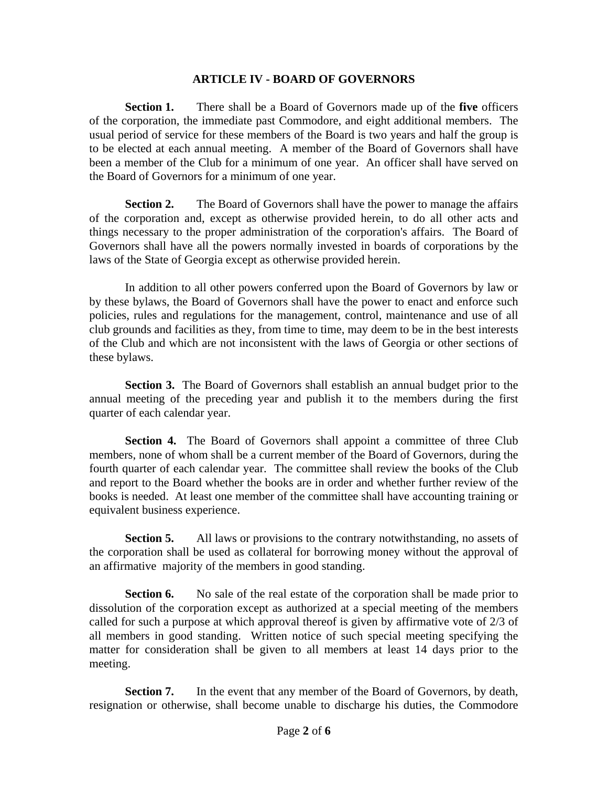#### **ARTICLE IV - BOARD OF GOVERNORS**

 **Section 1.** There shall be a Board of Governors made up of the **five** officers of the corporation, the immediate past Commodore, and eight additional members. The usual period of service for these members of the Board is two years and half the group is to be elected at each annual meeting. A member of the Board of Governors shall have been a member of the Club for a minimum of one year. An officer shall have served on the Board of Governors for a minimum of one year.

**Section 2.** The Board of Governors shall have the power to manage the affairs of the corporation and, except as otherwise provided herein, to do all other acts and things necessary to the proper administration of the corporation's affairs. The Board of Governors shall have all the powers normally invested in boards of corporations by the laws of the State of Georgia except as otherwise provided herein.

 In addition to all other powers conferred upon the Board of Governors by law or by these bylaws, the Board of Governors shall have the power to enact and enforce such policies, rules and regulations for the management, control, maintenance and use of all club grounds and facilities as they, from time to time, may deem to be in the best interests of the Club and which are not inconsistent with the laws of Georgia or other sections of these bylaws.

 **Section 3.** The Board of Governors shall establish an annual budget prior to the annual meeting of the preceding year and publish it to the members during the first quarter of each calendar year.

**Section 4.** The Board of Governors shall appoint a committee of three Club members, none of whom shall be a current member of the Board of Governors, during the fourth quarter of each calendar year. The committee shall review the books of the Club and report to the Board whether the books are in order and whether further review of the books is needed. At least one member of the committee shall have accounting training or equivalent business experience.

**Section 5.** All laws or provisions to the contrary notwithstanding, no assets of the corporation shall be used as collateral for borrowing money without the approval of an affirmative majority of the members in good standing.

**Section 6.** No sale of the real estate of the corporation shall be made prior to dissolution of the corporation except as authorized at a special meeting of the members called for such a purpose at which approval thereof is given by affirmative vote of 2/3 of all members in good standing. Written notice of such special meeting specifying the matter for consideration shall be given to all members at least 14 days prior to the meeting.

**Section 7.** In the event that any member of the Board of Governors, by death, resignation or otherwise, shall become unable to discharge his duties, the Commodore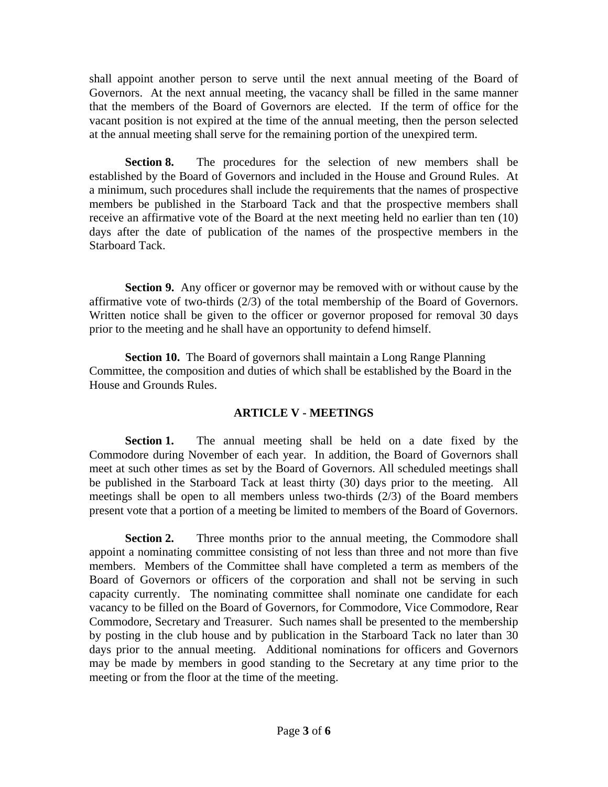shall appoint another person to serve until the next annual meeting of the Board of Governors. At the next annual meeting, the vacancy shall be filled in the same manner that the members of the Board of Governors are elected. If the term of office for the vacant position is not expired at the time of the annual meeting, then the person selected at the annual meeting shall serve for the remaining portion of the unexpired term.

 **Section 8.** The procedures for the selection of new members shall be established by the Board of Governors and included in the House and Ground Rules. At a minimum, such procedures shall include the requirements that the names of prospective members be published in the Starboard Tack and that the prospective members shall receive an affirmative vote of the Board at the next meeting held no earlier than ten (10) days after the date of publication of the names of the prospective members in the Starboard Tack.

**Section 9.** Any officer or governor may be removed with or without cause by the affirmative vote of two-thirds (2/3) of the total membership of the Board of Governors. Written notice shall be given to the officer or governor proposed for removal 30 days prior to the meeting and he shall have an opportunity to defend himself.

**Section 10.** The Board of governors shall maintain a Long Range Planning Committee, the composition and duties of which shall be established by the Board in the House and Grounds Rules.

# **ARTICLE V - MEETINGS**

 **Section 1.** The annual meeting shall be held on a date fixed by the Commodore during November of each year. In addition, the Board of Governors shall meet at such other times as set by the Board of Governors. All scheduled meetings shall be published in the Starboard Tack at least thirty (30) days prior to the meeting. All meetings shall be open to all members unless two-thirds (2/3) of the Board members present vote that a portion of a meeting be limited to members of the Board of Governors.

**Section 2.** Three months prior to the annual meeting, the Commodore shall appoint a nominating committee consisting of not less than three and not more than five members. Members of the Committee shall have completed a term as members of the Board of Governors or officers of the corporation and shall not be serving in such capacity currently. The nominating committee shall nominate one candidate for each vacancy to be filled on the Board of Governors, for Commodore, Vice Commodore, Rear Commodore, Secretary and Treasurer. Such names shall be presented to the membership by posting in the club house and by publication in the Starboard Tack no later than 30 days prior to the annual meeting. Additional nominations for officers and Governors may be made by members in good standing to the Secretary at any time prior to the meeting or from the floor at the time of the meeting.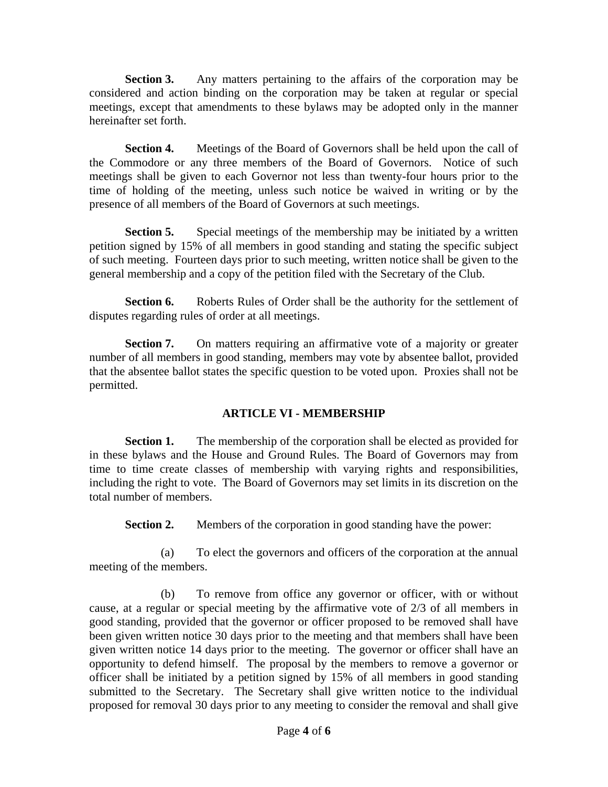**Section 3.** Any matters pertaining to the affairs of the corporation may be considered and action binding on the corporation may be taken at regular or special meetings, except that amendments to these bylaws may be adopted only in the manner hereinafter set forth.

**Section 4.** Meetings of the Board of Governors shall be held upon the call of the Commodore or any three members of the Board of Governors. Notice of such meetings shall be given to each Governor not less than twenty-four hours prior to the time of holding of the meeting, unless such notice be waived in writing or by the presence of all members of the Board of Governors at such meetings.

**Section 5.** Special meetings of the membership may be initiated by a written petition signed by 15% of all members in good standing and stating the specific subject of such meeting. Fourteen days prior to such meeting, written notice shall be given to the general membership and a copy of the petition filed with the Secretary of the Club.

**Section 6.** Roberts Rules of Order shall be the authority for the settlement of disputes regarding rules of order at all meetings.

**Section 7.** On matters requiring an affirmative vote of a majority or greater number of all members in good standing, members may vote by absentee ballot, provided that the absentee ballot states the specific question to be voted upon. Proxies shall not be permitted.

# **ARTICLE VI - MEMBERSHIP**

**Section 1.** The membership of the corporation shall be elected as provided for in these bylaws and the House and Ground Rules. The Board of Governors may from time to time create classes of membership with varying rights and responsibilities, including the right to vote. The Board of Governors may set limits in its discretion on the total number of members.

**Section 2.** Members of the corporation in good standing have the power:

 (a) To elect the governors and officers of the corporation at the annual meeting of the members.

 (b) To remove from office any governor or officer, with or without cause, at a regular or special meeting by the affirmative vote of 2/3 of all members in good standing, provided that the governor or officer proposed to be removed shall have been given written notice 30 days prior to the meeting and that members shall have been given written notice 14 days prior to the meeting. The governor or officer shall have an opportunity to defend himself. The proposal by the members to remove a governor or officer shall be initiated by a petition signed by 15% of all members in good standing submitted to the Secretary. The Secretary shall give written notice to the individual proposed for removal 30 days prior to any meeting to consider the removal and shall give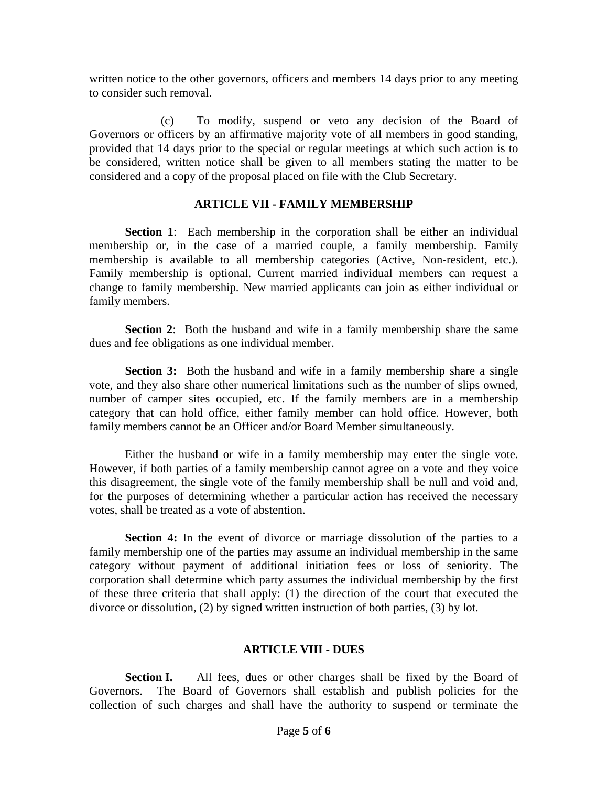written notice to the other governors, officers and members 14 days prior to any meeting to consider such removal.

 (c) To modify, suspend or veto any decision of the Board of Governors or officers by an affirmative majority vote of all members in good standing, provided that 14 days prior to the special or regular meetings at which such action is to be considered, written notice shall be given to all members stating the matter to be considered and a copy of the proposal placed on file with the Club Secretary.

# **ARTICLE VII - FAMILY MEMBERSHIP**

**Section 1:** Each membership in the corporation shall be either an individual membership or, in the case of a married couple, a family membership. Family membership is available to all membership categories (Active, Non-resident, etc.). Family membership is optional. Current married individual members can request a change to family membership. New married applicants can join as either individual or family members.

**Section 2:** Both the husband and wife in a family membership share the same dues and fee obligations as one individual member.

**Section 3:** Both the husband and wife in a family membership share a single vote, and they also share other numerical limitations such as the number of slips owned, number of camper sites occupied, etc. If the family members are in a membership category that can hold office, either family member can hold office. However, both family members cannot be an Officer and/or Board Member simultaneously.

 Either the husband or wife in a family membership may enter the single vote. However, if both parties of a family membership cannot agree on a vote and they voice this disagreement, the single vote of the family membership shall be null and void and, for the purposes of determining whether a particular action has received the necessary votes, shall be treated as a vote of abstention.

**Section 4:** In the event of divorce or marriage dissolution of the parties to a family membership one of the parties may assume an individual membership in the same category without payment of additional initiation fees or loss of seniority. The corporation shall determine which party assumes the individual membership by the first of these three criteria that shall apply: (1) the direction of the court that executed the divorce or dissolution, (2) by signed written instruction of both parties, (3) by lot.

#### **ARTICLE VIII - DUES**

**Section I.** All fees, dues or other charges shall be fixed by the Board of Governors. The Board of Governors shall establish and publish policies for the collection of such charges and shall have the authority to suspend or terminate the